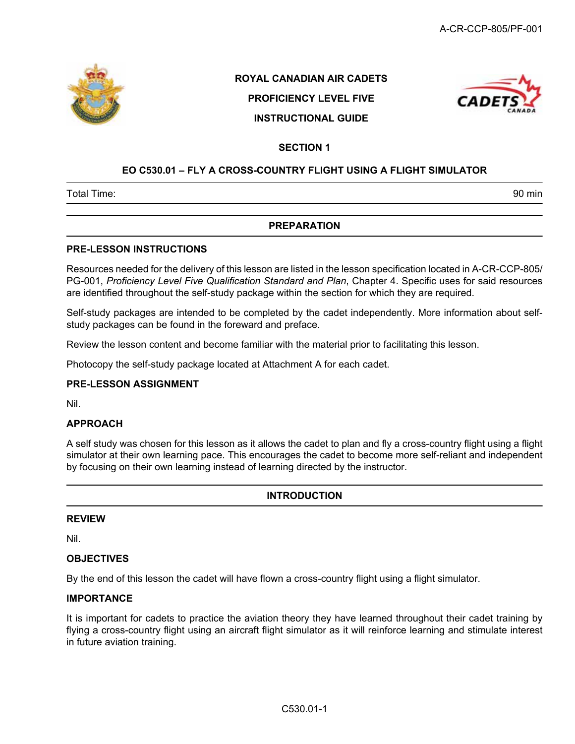

# **ROYAL CANADIAN AIR CADETS PROFICIENCY LEVEL FIVE INSTRUCTIONAL GUIDE**



# **SECTION 1**

# **EO C530.01 – FLY A CROSS-COUNTRY FLIGHT USING A FLIGHT SIMULATOR**

Total Time: 90 min

#### **PREPARATION**

#### **PRE-LESSON INSTRUCTIONS**

Resources needed for the delivery of this lesson are listed in the lesson specification located in A-CR-CCP-805/ PG-001, *Proficiency Level Five Qualification Standard and Plan*, Chapter 4. Specific uses for said resources are identified throughout the self-study package within the section for which they are required.

Self-study packages are intended to be completed by the cadet independently. More information about selfstudy packages can be found in the foreward and preface.

Review the lesson content and become familiar with the material prior to facilitating this lesson.

Photocopy the self-study package located at Attachment A for each cadet.

#### **PRE-LESSON ASSIGNMENT**

Nil.

#### **APPROACH**

A self study was chosen for this lesson as it allows the cadet to plan and fly a cross-country flight using a flight simulator at their own learning pace. This encourages the cadet to become more self-reliant and independent by focusing on their own learning instead of learning directed by the instructor.

# **INTRODUCTION**

#### **REVIEW**

Nil.

#### **OBJECTIVES**

By the end of this lesson the cadet will have flown a cross-country flight using a flight simulator.

#### **IMPORTANCE**

It is important for cadets to practice the aviation theory they have learned throughout their cadet training by flying a cross-country flight using an aircraft flight simulator as it will reinforce learning and stimulate interest in future aviation training.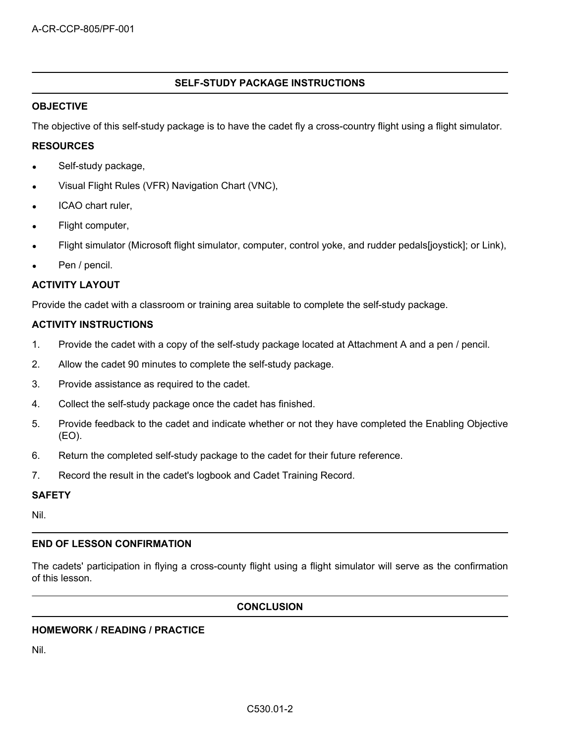# **SELF-STUDY PACKAGE INSTRUCTIONS**

# **OBJECTIVE**

The objective of this self-study package is to have the cadet fly a cross-country flight using a flight simulator.

#### **RESOURCES**

- Self-study package,  $\bullet$
- Visual Flight Rules (VFR) Navigation Chart (VNC),  $\bullet$
- ICAO chart ruler,  $\bullet$
- Flight computer,  $\bullet$
- Flight simulator (Microsoft flight simulator, computer, control yoke, and rudder pedals[joystick]; or Link),  $\bullet$
- Pen / pencil.

# **ACTIVITY LAYOUT**

Provide the cadet with a classroom or training area suitable to complete the self-study package.

# **ACTIVITY INSTRUCTIONS**

- 1. Provide the cadet with a copy of the self-study package located at Attachment A and a pen / pencil.
- 2. Allow the cadet 90 minutes to complete the self-study package.
- 3. Provide assistance as required to the cadet.
- 4. Collect the self-study package once the cadet has finished.
- 5. Provide feedback to the cadet and indicate whether or not they have completed the Enabling Objective (EO).
- 6. Return the completed self-study package to the cadet for their future reference.
- 7. Record the result in the cadet's logbook and Cadet Training Record.

#### **SAFETY**

Nil.

#### **END OF LESSON CONFIRMATION**

The cadets' participation in flying a cross-county flight using a flight simulator will serve as the confirmation of this lesson.

# **CONCLUSION**

# **HOMEWORK / READING / PRACTICE**

Nil.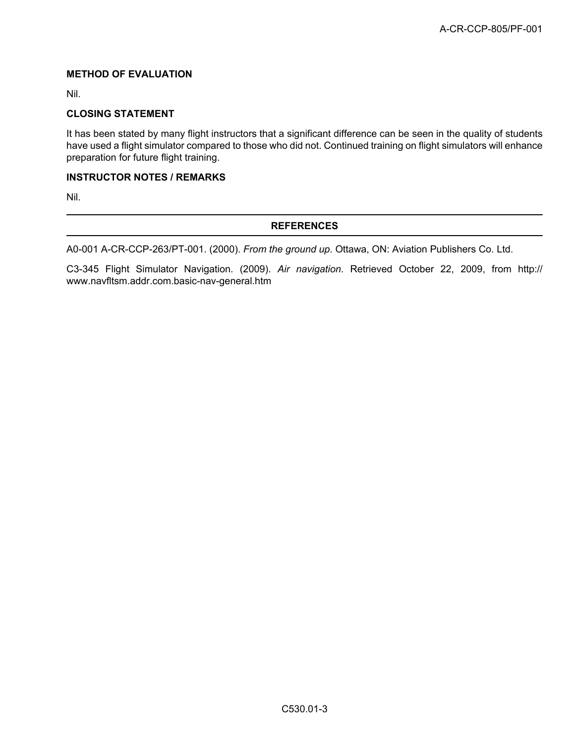# **METHOD OF EVALUATION**

Nil.

#### **CLOSING STATEMENT**

It has been stated by many flight instructors that a significant difference can be seen in the quality of students have used a flight simulator compared to those who did not. Continued training on flight simulators will enhance preparation for future flight training.

# **INSTRUCTOR NOTES / REMARKS**

Nil.

#### **REFERENCES**

A0-001 A-CR-CCP-263/PT-001. (2000). *From the ground up*. Ottawa, ON: Aviation Publishers Co. Ltd.

C3-345 Flight Simulator Navigation. (2009). *Air navigation*. Retrieved October 22, 2009, from http:// www.navfltsm.addr.com.basic-nav-general.htm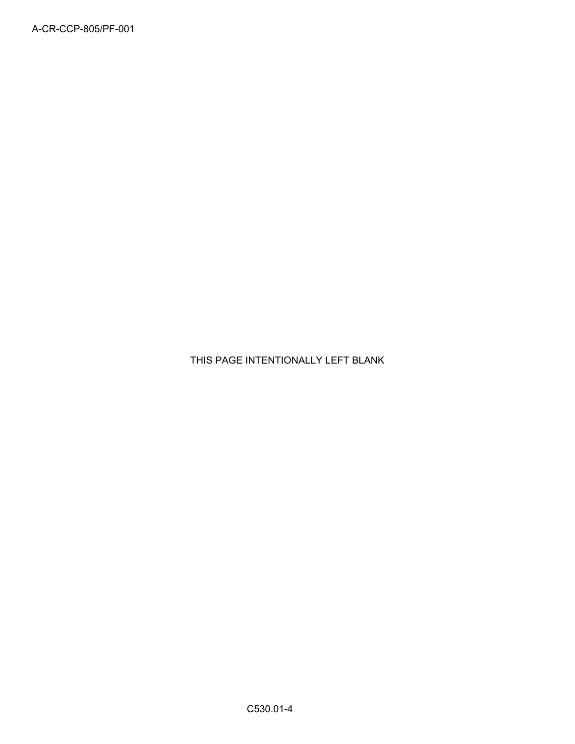THIS PAGE INTENTIONALLY LEFT BLANK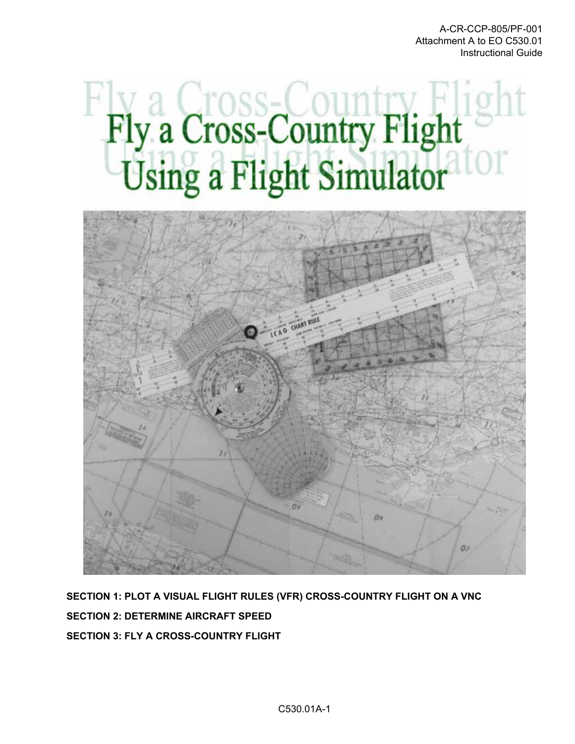A-CR-CCP-805/PF-001 Attachment A to EO C530.01 Instructional Guide

# Fly a Cross-Country Flight



**SECTION 1: PLOT A VISUAL FLIGHT RULES (VFR) CROSS-COUNTRY FLIGHT ON A VNC SECTION 2: DETERMINE AIRCRAFT SPEED SECTION 3: FLY A CROSS-COUNTRY FLIGHT**

C530.01A-1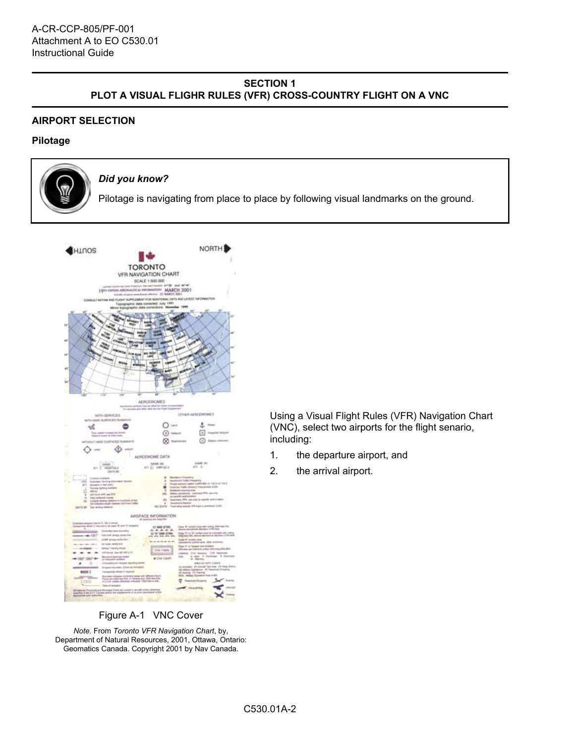# **SECTION 1 PLOT A VISUAL FLIGHR RULES (VFR) CROSS-COUNTRY FLIGHT ON A VNC**

#### **AIRPORT SELECTION**

#### **Pilotage**



# *Did you know?*

Pilotage is navigating from place to place by following visual landmarks on the ground.



Using a Visual Flight Rules (VFR) Navigation Chart (VNC), select two airports for the flight senario, including:

- 1. the departure airport, and
- 2. the arrival airport.

#### Figure A-1 VNC Cover

*Note*. From *Toronto VFR Navigation Chart*, by, Department of Natural Resources, 2001, Ottawa, Ontario: Geomatics Canada. Copyright 2001 by Nav Canada.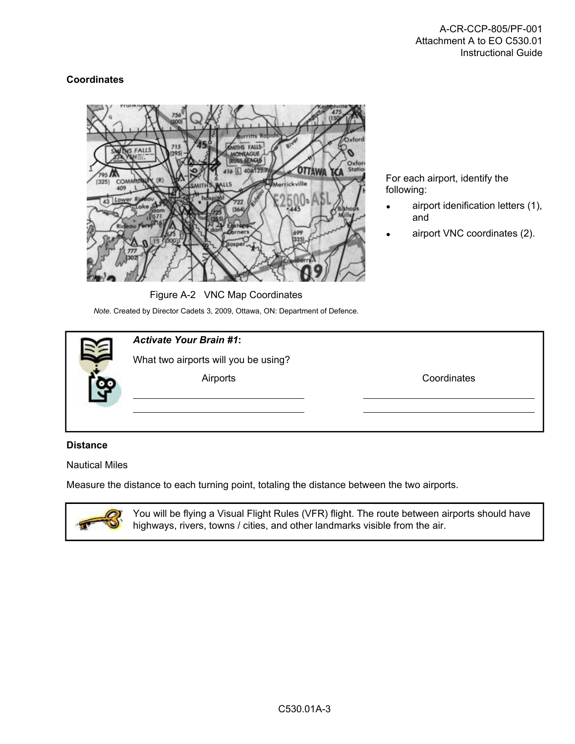# A-CR-CCP-805/PF-001 Attachment A to EO C530.01 Instructional Guide

# **Coordinates**



For each airport, identify the following:

- airport idenification letters (1),  $\bullet$ and
- airport VNC coordinates (2).  $\bullet$

Figure A-2 VNC Map Coordinates *Note*. Created by Director Cadets 3, 2009, Ottawa, ON: Department of Defence.

|                                            | <b>Activate Your Brain #1:</b> |             |  |
|--------------------------------------------|--------------------------------|-------------|--|
| What two airports will you be using?<br>52 |                                |             |  |
|                                            | Airports                       | Coordinates |  |
|                                            |                                |             |  |
|                                            |                                |             |  |

# **Distance**

Nautical Miles

Measure the distance to each turning point, totaling the distance between the two airports.



You will be flying a Visual Flight Rules (VFR) flight. The route between airports should have highways, rivers, towns / cities, and other landmarks visible from the air.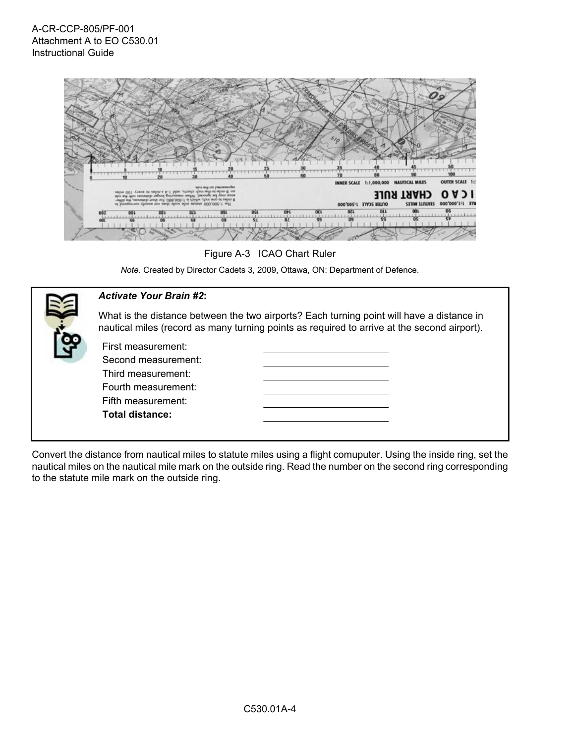# A-CR-CCP-805/PF-001 Attachment A to EO C530.01 Instructional Guide



Figure A-3 ICAO Chart Ruler

*Note*. Created by Director Cadets 3, 2009, Ottawa, ON: Department of Defence.

|  | <b>Activate Your Brain #2:</b>                                                                                                                                                           |  |
|--|------------------------------------------------------------------------------------------------------------------------------------------------------------------------------------------|--|
|  | What is the distance between the two airports? Each turning point will have a distance in<br>nautical miles (record as many turning points as required to arrive at the second airport). |  |
|  | First measurement:<br>Second measurement:<br>Third measurement:<br>Fourth measurement:<br>Fifth measurement:<br>Total distance:                                                          |  |

Convert the distance from nautical miles to statute miles using a flight comuputer. Using the inside ring, set the nautical miles on the nautical mile mark on the outside ring. Read the number on the second ring corresponding to the statute mile mark on the outside ring.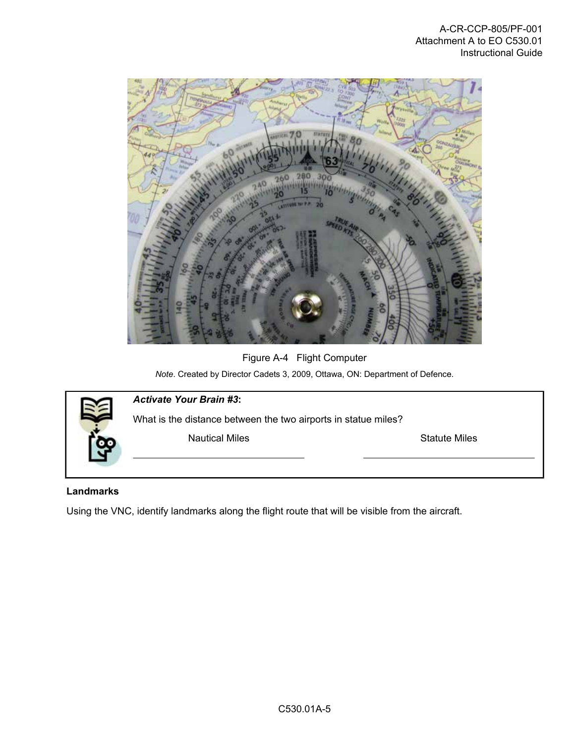

Figure A-4 Flight Computer

*Note*. Created by Director Cadets 3, 2009, Ottawa, ON: Department of Defence.



# *Activate Your Brain #3***:**

What is the distance between the two airports in statue miles?

Nautical Miles **Nautical Miles** Statute Miles

# **Landmarks**

Using the VNC, identify landmarks along the flight route that will be visible from the aircraft.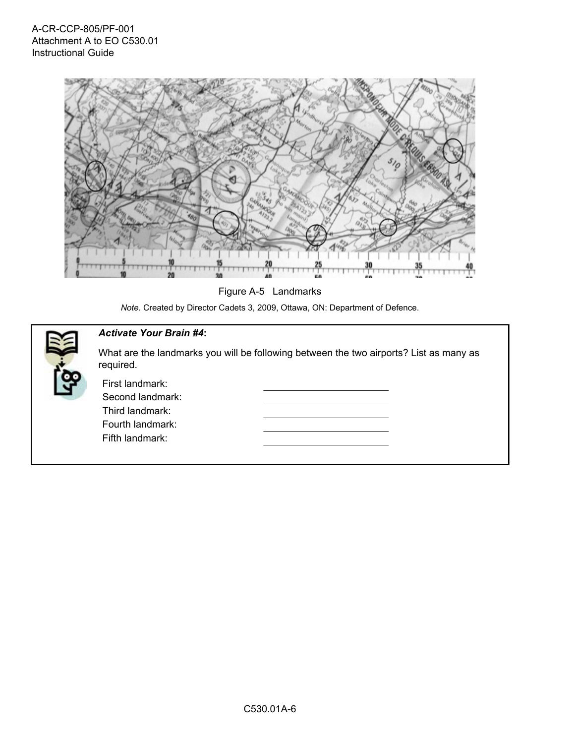

Figure A-5 Landmarks

*Note*. Created by Director Cadets 3, 2009, Ottawa, ON: Department of Defence.

|              | <b>Activate Your Brain #4:</b>                                                                      |  |  |  |
|--------------|-----------------------------------------------------------------------------------------------------|--|--|--|
| $\mathbb{E}$ | What are the landmarks you will be following between the two airports? List as many as<br>required. |  |  |  |
| Šл           | First landmark:<br>Second landmark:<br>Third landmark:<br>Fourth landmark:<br>Fifth landmark:       |  |  |  |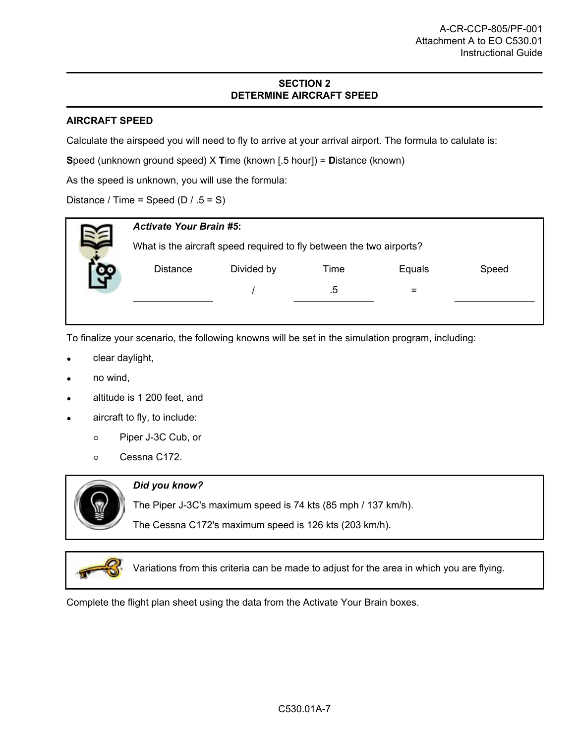# **SECTION 2 DETERMINE AIRCRAFT SPEED**

# **AIRCRAFT SPEED**

Calculate the airspeed you will need to fly to arrive at your arrival airport. The formula to calulate is:

**S**peed (unknown ground speed) X **T**ime (known [.5 hour]) = **D**istance (known)

As the speed is unknown, you will use the formula:

Distance / Time = Speed  $(D / .5 = S)$ 

|           | <b>Activate Your Brain #5:</b>                                       |            |      |        |       |
|-----------|----------------------------------------------------------------------|------------|------|--------|-------|
|           | What is the aircraft speed required to fly between the two airports? |            |      |        |       |
| <u>မှ</u> | <b>Distance</b>                                                      | Divided by | Time | Equals | Speed |
|           |                                                                      |            | .5   | $=$    |       |
|           |                                                                      |            |      |        |       |

To finalize your scenario, the following knowns will be set in the simulation program, including:

- clear daylight,
- no wind,
- altitude is 1 200 feet, and
- aircraft to fly, to include:
	- $\circ$ Piper J-3C Cub, or
	- $\circ$ Cessna C172.



#### *Did you know?*

The Piper J-3C's maximum speed is 74 kts (85 mph / 137 km/h).

The Cessna C172's maximum speed is 126 kts (203 km/h).



Variations from this criteria can be made to adjust for the area in which you are flying.

Complete the flight plan sheet using the data from the Activate Your Brain boxes.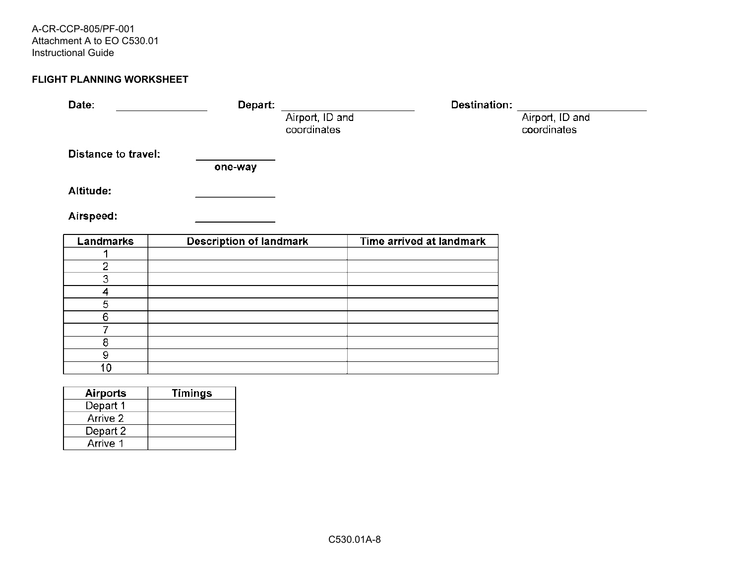# **FLIGHT PLANNING WORKSHEET**

 $\overline{8}$  $\overline{9}$  $\overline{10}$ 

| Date:               | Depart:                        |                                | Destination:             |                                |
|---------------------|--------------------------------|--------------------------------|--------------------------|--------------------------------|
|                     |                                | Airport, ID and<br>coordinates |                          | Airport, ID and<br>coordinates |
| Distance to travel: | one-way                        |                                |                          |                                |
| Altitude:           |                                |                                |                          |                                |
| Airspeed:           |                                |                                |                          |                                |
| Landmarks           | <b>Description of landmark</b> |                                | Time arrived at landmark |                                |
|                     |                                |                                |                          |                                |
| 2                   |                                |                                |                          |                                |
| 3                   |                                |                                |                          |                                |
| 4                   |                                |                                |                          |                                |
| 5                   |                                |                                |                          |                                |
| 6                   |                                |                                |                          |                                |
| 7                   |                                |                                |                          |                                |

| <b>Airports</b> | Timings |
|-----------------|---------|
| Depart 1        |         |
| Arrive 2        |         |
| Depart 2        |         |
| Arrive 1        |         |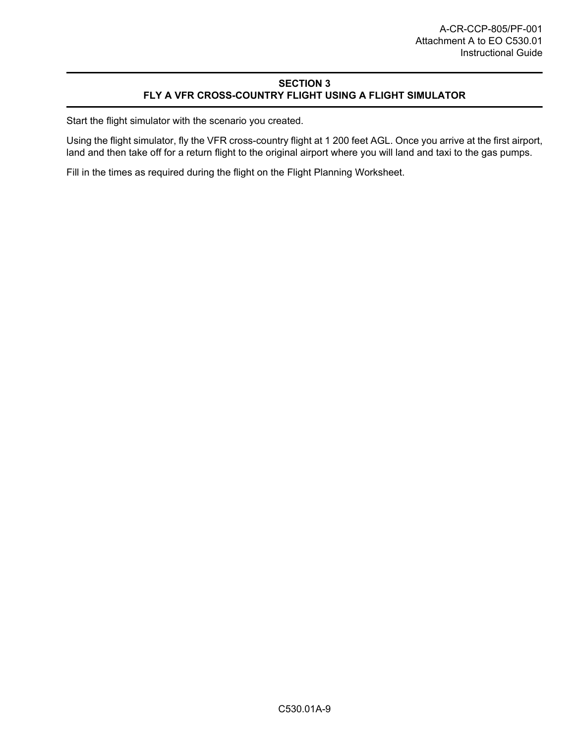# **SECTION 3 FLY A VFR CROSS-COUNTRY FLIGHT USING A FLIGHT SIMULATOR**

Start the flight simulator with the scenario you created.

Using the flight simulator, fly the VFR cross-country flight at 1 200 feet AGL. Once you arrive at the first airport, land and then take off for a return flight to the original airport where you will land and taxi to the gas pumps.

Fill in the times as required during the flight on the Flight Planning Worksheet.